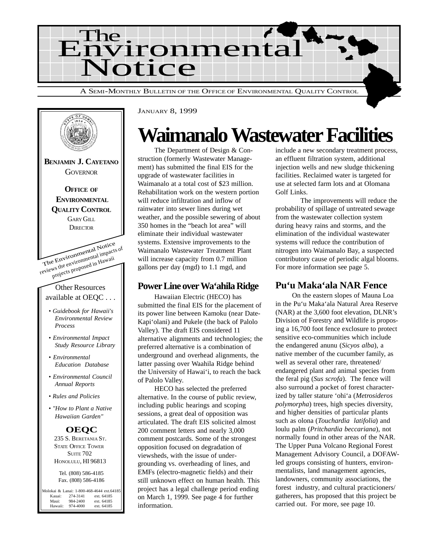



JANUARY 8, 1999

## **Waimanalo Wastewater Facilities**

The Department of Design & Construction (formerly Wastewater Management) has submitted the final EIS for the upgrade of wastewater facilities in Waimanalo at a total cost of \$23 million. Rehabilitation work on the western portion will reduce infiltration and inflow of rainwater into sewer lines during wet weather, and the possible sewering of about 350 homes in the "beach lot area" will eliminate their individual wastewater systems. Extensive improvements to the Waimanalo Wastewater Treatment Plant will increase capacity from 0.7 million gallons per day (mgd) to 1.1 mgd, and

#### **Power Line over Wa'ahila Ridge**

Hawaiian Electric (HECO) has submitted the final EIS for the placement of its power line between Kamoku (near Date-Kapi'olani) and Pukele (the back of Palolo Valley). The draft EIS considered 11 alternative alignments and technologies; the preferred alternative is a combination of underground and overhead alignments, the latter passing over Waahila Ridge behind the University of Hawai'i, to reach the back of Palolo Valley.

HECO has selected the preferred alternative. In the course of public review, including public hearings and scoping sessions, a great deal of opposition was articulated. The draft EIS solicited almost 200 comment letters and nearly 3,000 comment postcards. Some of the strongest opposition focused on degradation of viewsheds, with the issue of undergrounding vs. overheading of lines, and EMFs (electro-magnetic fields) and their still unknown effect on human health. This project has a legal challenge period ending on March 1, 1999. See page 4 for further information.

include a new secondary treatment process, an effluent filtration system, additional injection wells and new sludge thickening facilities. Reclaimed water is targeted for use at selected farm lots and at Olomana Golf Links.

The improvements will reduce the probability of spillage of untreated sewage from the wastewater collection system during heavy rains and storms, and the elimination of the individual wastewater systems will reduce the contribution of nitrogen into Waimanalo Bay, a suspected contributory cause of periodic algal blooms. For more information see page 5.

### **Pu'u Maka'ala NAR Fence**

On the eastern slopes of Mauna Loa in the Pu'u Maka'ala Natural Area Reserve (NAR) at the 3,600 foot elevation, DLNR's Division of Forestry and Wildlife is proposing a 16,700 foot fence exclosure to protect sensitive eco-communities which include the endangered anunu (*Sicyos alba*), a native member of the cucumber family, as well as several other rare, threatened/ endangered plant and animal species from the feral pig (*Sus scrofa*). The fence will also surround a pocket of forest characterized by taller stature 'ohi'a (*Metrosideros polymorpha*) trees, high species diversity, and higher densities of particular plants such as olona (*Touchardia latifolia*) and loulu palm (*Pritchardia beccariana*), not normally found in other areas of the NAR. The Upper Puna Volcano Regional Forest Management Advisory Council, a DOFAWled groups consisting of hunters, environmentalists, land management agencies, landowners, community associations, the forest industry, and cultural practicioners/ gatherers, has proposed that this project be carried out. For more, see page 10.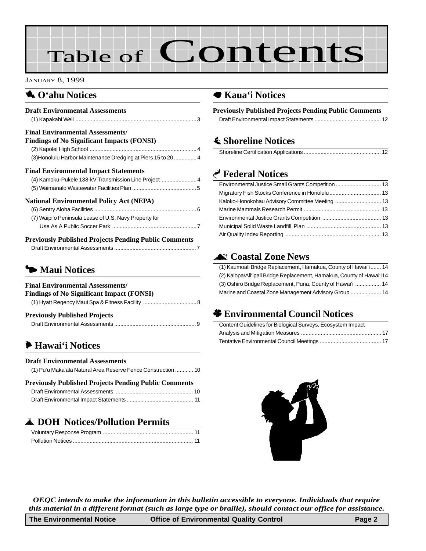# Table of Contents

#### JANUARY 8, 1999

### 1 **O'ahu Notices**

| <b>Draft Environmental Assessments</b>                                                                   |
|----------------------------------------------------------------------------------------------------------|
| <b>Final Environmental Assessments/</b><br><b>Findings of No Significant Impacts (FONSI)</b>             |
| (3) Honolulu Harbor Maintenance Dredging at Piers 15 to 20  4                                            |
| <b>Final Environmental Impact Statements</b><br>(4) Kamoku-Pukele 138-kV Transmission Line Project  4    |
| <b>National Environmental Policy Act (NEPA)</b><br>(7) Waipi'o Peninsula Lease of U.S. Navy Property for |
| <b>Previously Published Projects Pending Public Comments</b>                                             |

## 3 **Maui Notices**

| <b>Final Environmental Assessments/</b>   |  |
|-------------------------------------------|--|
| Findings of No Significant Impact (FONSI) |  |
|                                           |  |
| <b>Previously Published Projects</b>      |  |
|                                           |  |

## 6 **[Hawai'i Notices](#page-9-0)**

#### **Draft Environmental Assessments**

| (1) Pu'u Maka'ala Natural Area Reserve Fence Construction  10 |  |
|---------------------------------------------------------------|--|
|                                                               |  |

#### **Previously Published Projects Pending Public Comments** [Draft Environmental Assessments .................................................... 10](#page-9-0) [Draft Environmental Impact Statements ............................................ 11](#page-10-0)

## V **DOH Notices/Pollution Permits**

### 7 **[Kaua'i Notices](#page-11-0)**

**Previously Published Projects Pending Public Comments** [Draft Environmental Impact Statements ............................................ 12](#page-11-0)

## s **Shoreline Notices**

## G **Federal Notices**

## ^ **Coastal Zone News**

| (1) Kaumoali Bridge Replacement, Hamakua, County of Hawai'i  14        |
|------------------------------------------------------------------------|
| (2) Kalopa/Ali'ipali Bridge Replacement, Hamakua, County of Hawai'i 14 |
| (3) Oshiro Bridge Replacement, Puna, County of Hawai'i  14             |
|                                                                        |

## ' **Environmental Council Notices**

| Content Guidelines for Biological Surveys, Ecosystem Impact |  |
|-------------------------------------------------------------|--|
|                                                             |  |
|                                                             |  |



*OEQC intends to make the information in this bulletin accessible to everyone. Individuals that require this material in a different format (such as large type or braille), should contact our office for assistance.*

| <b>Office of Environmental Quality Control</b><br>The Environmental Notice | Page 2 |
|----------------------------------------------------------------------------|--------|
|----------------------------------------------------------------------------|--------|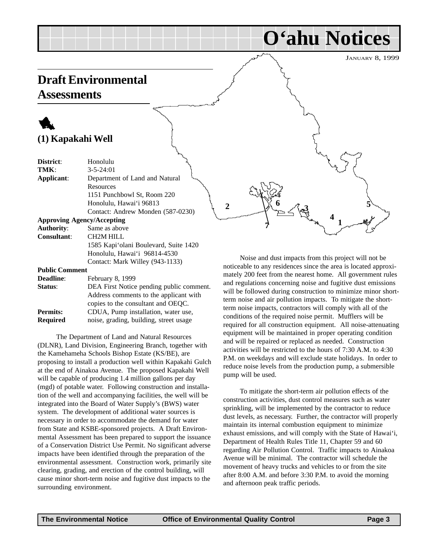#### JANUARY 8, 1999

**O'ahu Notices**

## <span id="page-2-0"></span>**Draft Environmental**

**Assessments**

## 1 **(1) Kapakahi Well**

| District:                         | Honolulu                              |
|-----------------------------------|---------------------------------------|
| TMK:                              | $3 - 5 - 24:01$                       |
| Applicant:                        | Department of Land and Natural        |
|                                   | Resources                             |
|                                   | 1151 Punchbowl St, Room 220           |
|                                   | Honolulu, Hawai'i 96813               |
|                                   | Contact: Andrew Monden (587-0230)     |
| <b>Approving Agency/Accepting</b> |                                       |
| <b>Authority:</b>                 | Same as above                         |
| <b>Consultant:</b>                | <b>CH2M HILL</b>                      |
|                                   | 1585 Kapi'olani Boulevard, Suite 1420 |
|                                   | Honolulu, Hawai'i 96814-4530          |
|                                   | Contact: Mark Willey (943-1133)       |
| <b>Public Comment</b>             |                                       |

| <b>Deadline:</b> | February 8, 1999                         |
|------------------|------------------------------------------|
| Status:          | DEA First Notice pending public comment. |
|                  | Address comments to the applicant with   |
|                  | copies to the consultant and OEQC.       |
| <b>Permits:</b>  | CDUA, Pump installation, water use,      |
| <b>Required</b>  | noise, grading, building, street usage   |
|                  |                                          |

 The Department of Land and Natural Resources (DLNR), Land Division, Engineering Branch, together with the Kamehameha Schools Bishop Estate (KS/BE), are proposing to install a production well within Kapakahi Gulch at the end of Ainakoa Avenue. The proposed Kapakahi Well will be capable of producing 1.4 million gallons per day (mgd) of potable water. Following construction and installation of the well and accompanying facilities, the well will be integrated into the Board of Water Supply's (BWS) water system. The development of additional water sources is necessary in order to accommodate the demand for water from State and KSBE-sponsored projects. A Draft Environmental Assessment has been prepared to support the issuance of a Conservation District Use Permit. No significant adverse impacts have been identified through the preparation of the environmental assessment. Construction work, primarily site clearing, grading, and erection of the control building, will cause minor short-term noise and fugitive dust impacts to the surrounding environment.

Noise and dust impacts from this project will not be noticeable to any residences since the area is located approximately 200 feet from the nearest home. All government rules and regulations concerning noise and fugitive dust emissions will be followed during construction to minimize minor shortterm noise and air pollution impacts. To mitigate the shortterm noise impacts, contractors will comply with all of the conditions of the required noise permit. Mufflers will be required for all construction equipment. All noise-attenuating equipment will be maintained in proper operating condition and will be repaired or replaced as needed. Construction activities will be restricted to the hours of 7:30 A.M. to 4:30 P.M. on weekdays and will exclude state holidays. In order to reduce noise levels from the production pump, a submersible pump will be used.

2 **3**  $\frac{1}{2}$ 

**7**

**1**

**4**

**6**  $\pi$  **5** 

To mitigate the short-term air pollution effects of the construction activities, dust control measures such as water sprinkling, will be implemented by the contractor to reduce dust levels, as necessary. Further, the contractor will properly maintain its internal combustion equipment to minimize exhaust emissions, and will comply with the State of Hawai'i, Department of Health Rules Title 11, Chapter 59 and 60 regarding Air Pollution Control. Traffic impacts to Ainakoa Avenue will be minimal. The contractor will schedule the movement of heavy trucks and vehicles to or from the site after 8:00 A.M. and before 3:30 P.M. to avoid the morning and afternoon peak traffic periods.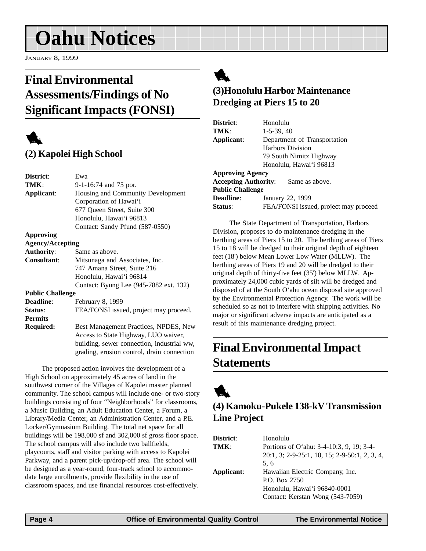<span id="page-3-0"></span>JANUARY 8, 1999

## **Final Environmental Assessments/Findings of No Significant Impacts (FONSI)**



## **(2) Kapolei High School**

| District:               | Ewa                                        |
|-------------------------|--------------------------------------------|
| TMK:                    | 9-1-16:74 and 75 por.                      |
| Applicant:              | Housing and Community Development          |
|                         | Corporation of Hawai'i                     |
|                         | 677 Queen Street, Suite 300                |
|                         | Honolulu, Hawai'i 96813                    |
|                         | Contact: Sandy Pfund (587-0550)            |
| Approving               |                                            |
| <b>Agency/Accepting</b> |                                            |
| <b>Authority:</b>       | Same as above.                             |
| <b>Consultant:</b>      | Mitsunaga and Associates, Inc.             |
|                         | 747 Amana Street, Suite 216                |
|                         | Honolulu, Hawai'i 96814                    |
|                         | Contact: Byung Lee (945-7882 ext. 132)     |
| <b>Public Challenge</b> |                                            |
| <b>Deadline:</b>        | February 8, 1999                           |
| Status:                 | FEA/FONSI issued, project may proceed.     |
| <b>Permits</b>          |                                            |
| Required:               | Best Management Practices, NPDES, New      |
|                         | Access to State Highway, LUO waiver,       |
|                         | building, sewer connection, industrial ww, |
|                         | grading, erosion control, drain connection |
|                         |                                            |

The proposed action involves the development of a High School on approximately 45 acres of land in the southwest corner of the Villages of Kapolei master planned community. The school campus will include one- or two-story buildings consisting of four "Neighborhoods" for classrooms, a Music Building, an Adult Education Center, a Forum, a Library/Media Center, an Administration Center, and a P.E. Locker/Gymnasium Building. The total net space for all buildings will be 198,000 sf and 302,000 sf gross floor space. The school campus will also include two ballfields, playcourts, staff and visitor parking with access to Kapolei Parkway, and a parent pick-up/drop-off area. The school will be designed as a year-round, four-track school to accommodate large enrollments, provide flexibility in the use of classroom spaces, and use financial resources cost-effectively.

## 1

### **(3)Honolulu Harbor Maintenance Dredging at Piers 15 to 20**

| District:                   | Honolulu                              |  |
|-----------------------------|---------------------------------------|--|
| TMK:                        | $1-5-39, 40$                          |  |
| Applicant:                  | Department of Transportation          |  |
|                             | <b>Harbors Division</b>               |  |
|                             | 79 South Nimitz Highway               |  |
|                             | Honolulu, Hawai'i 96813               |  |
| <b>Approving Agency</b>     |                                       |  |
| <b>Accepting Authority:</b> | Same as above.                        |  |
| <b>Public Challenge</b>     |                                       |  |
| <b>Deadline:</b>            | January 22, 1999                      |  |
| Status:                     | FEA/FONSI issued, project may proceed |  |
|                             |                                       |  |

The State Department of Transportation, Harbors Division, proposes to do maintenance dredging in the berthing areas of Piers 15 to 20. The berthing areas of Piers 15 to 18 will be dredged to their original depth of eighteen feet (18') below Mean Lower Low Water (MLLW). The berthing areas of Piers 19 and 20 will be dredged to their original depth of thirty-five feet (35') below MLLW. Approximately 24,000 cubic yards of silt will be dredged and disposed of at the South O'ahu ocean disposal site approved by the Environmental Protection Agency. The work will be scheduled so as not to interfere with shipping activities. No major or significant adverse impacts are anticipated as a result of this maintenance dredging project.

## **Final Environmental Impact Statements**



## **(4) Kamoku-Pukele 138-kV Transmission Line Project**

| <b>District:</b> | Honolulu                                      |
|------------------|-----------------------------------------------|
| TMK:             | Portions of O'ahu: 3-4-10:3, 9, 19; 3-4-      |
|                  | 20:1, 3; 2-9-25:1, 10, 15; 2-9-50:1, 2, 3, 4, |
|                  | 5.6                                           |
| Applicant:       | Hawaiian Electric Company, Inc.               |
|                  | P.O. Box 2750                                 |
|                  | Honolulu, Hawai'i 96840-0001                  |
|                  | Contact: Kerstan Wong (543-7059)              |
|                  |                                               |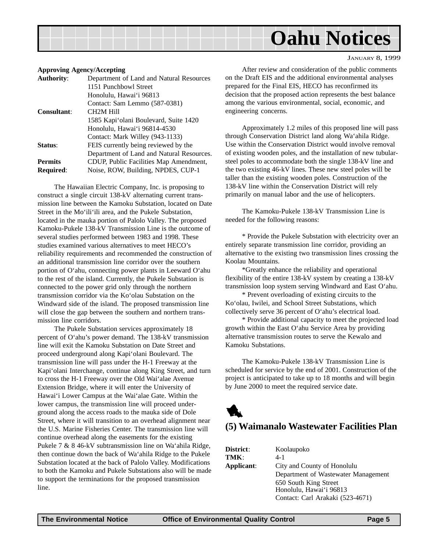#### JANUARY 8, 1999

#### <span id="page-4-0"></span>**Approving Agency/Accepting**

| <b>Authority:</b>  | Department of Land and Natural Resources  |  |
|--------------------|-------------------------------------------|--|
|                    | 1151 Punchbowl Street                     |  |
|                    | Honolulu, Hawai'i 96813                   |  |
|                    | Contact: Sam Lemmo (587-0381)             |  |
| <b>Consultant:</b> | CH <sub>2</sub> M Hill                    |  |
|                    | 1585 Kapi'olani Boulevard, Suite 1420     |  |
|                    | Honolulu, Hawai'i 96814-4530              |  |
|                    | Contact: Mark Willey (943-1133)           |  |
| Status:            | FEIS currently being reviewed by the      |  |
|                    | Department of Land and Natural Resources. |  |
| <b>Permits</b>     | CDUP, Public Facilities Map Amendment,    |  |
| <b>Required:</b>   | Noise, ROW, Building, NPDES, CUP-1        |  |
|                    |                                           |  |

The Hawaiian Electric Company, Inc. is proposing to construct a single circuit 138-kV alternating current transmission line between the Kamoku Substation, located on Date Street in the Mo'ili'ili area, and the Pukele Substation, located in the mauka portion of Palolo Valley. The proposed Kamoku-Pukele 138-kV Transmission Line is the outcome of several studies performed between 1983 and 1998. These studies examined various alternatives to meet HECO's reliability requirements and recommended the construction of an additional transmission line corridor over the southern portion of O'ahu, connecting power plants in Leeward O'ahu to the rest of the island. Currently, the Pukele Substation is connected to the power grid only through the northern transmission corridor via the Ko'olau Substation on the Windward side of the island. The proposed transmission line will close the gap between the southern and northern transmission line corridors.

The Pukele Substation services approximately 18 percent of O'ahu's power demand. The 138-kV transmission line will exit the Kamoku Substation on Date Street and proceed underground along Kapi'olani Boulevard. The transmission line will pass under the H-1 Freeway at the Kapi'olani Interchange, continue along King Street, and turn to cross the H-1 Freeway over the Old Wai'alae Avenue Extension Bridge, where it will enter the University of Hawai'i Lower Campus at the Wai'alae Gate. Within the lower campus, the transmission line will proceed underground along the access roads to the mauka side of Dole Street, where it will transition to an overhead alignment near the U.S. Marine Fisheries Center. The transmission line will continue overhead along the easements for the existing Pukele 7 & 8 46-kV subtransmission line on Wa'ahila Ridge, then continue down the back of Wa'ahila Ridge to the Pukele Substation located at the back of Palolo Valley. Modifications to both the Kamoku and Pukele Substations also will be made to support the terminations for the proposed transmission line.

After review and consideration of the public comments on the Draft EIS and the additional environmental analyses prepared for the Final EIS, HECO has reconfirmed its decision that the proposed action represents the best balance among the various environmental, social, economic, and engineering concerns.

Approximately 1.2 miles of this proposed line will pass through Conservation District land along Wa'ahila Ridge. Use within the Conservation District would involve removal of existing wooden poles, and the installation of new tubularsteel poles to accommodate both the single 138-kV line and the two existing 46-kV lines. These new steel poles will be taller than the existing wooden poles. Construction of the 138-kV line within the Conservation District will rely primarily on manual labor and the use of helicopters.

The Kamoku-Pukele 138-kV Transmission Line is needed for the following reasons:

\* Provide the Pukele Substation with electricity over an entirely separate transmission line corridor, providing an alternative to the existing two transmission lines crossing the Koolau Mountains.

\*Greatly enhance the reliability and operational flexibility of the entire 138-kV system by creating a 138-kV transmission loop system serving Windward and East O'ahu.

\* Prevent overloading of existing circuits to the Ko'olau, Iwilei, and School Street Substations, which collectively serve 36 percent of O'ahu's electrical load.

\* Provide additional capacity to meet the projected load growth within the East O'ahu Service Area by providing alternative transmission routes to serve the Kewalo and Kamoku Substations.

The Kamoku-Pukele 138-kV Transmission Line is scheduled for service by the end of 2001. Construction of the project is anticipated to take up to 18 months and will begin by June 2000 to meet the required service date.



#### **(5) Waimanalo Wastewater Facilities Plan**

| District:  | Koolaupoko                          |  |
|------------|-------------------------------------|--|
| TMK:       | $4 - 1$                             |  |
| Applicant: | City and County of Honolulu         |  |
|            | Department of Wastewater Management |  |
|            | 650 South King Street               |  |
|            | Honolulu, Hawai'i 96813             |  |
|            | Contact: Carl Arakaki (523-4671)    |  |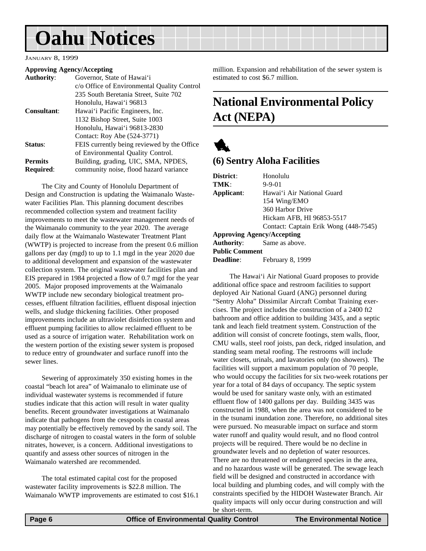#### <span id="page-5-0"></span>JANUARY 8, 1999

#### **Approving Agency/Accepting**

| <b>Authority:</b>  | Governor, State of Hawai'i                  |
|--------------------|---------------------------------------------|
|                    | c/o Office of Environmental Quality Control |
|                    | 235 South Beretania Street, Suite 702       |
|                    | Honolulu, Hawai'i 96813                     |
| <b>Consultant:</b> | Hawai'i Pacific Engineers, Inc.             |
|                    | 1132 Bishop Street, Suite 1003              |
|                    | Honolulu, Hawai'i 96813-2830                |
|                    | Contact: Roy Abe (524-3771)                 |
| Status:            | FEIS currently being reviewed by the Office |
|                    | of Environmental Quality Control.           |
| <b>Permits</b>     | Building, grading, UIC, SMA, NPDES,         |
| <b>Required:</b>   | community noise, flood hazard variance      |
|                    |                                             |

The City and County of Honolulu Department of Design and Construction is updating the Waimanalo Wastewater Facilities Plan. This planning document describes recommended collection system and treatment facility improvements to meet the wastewater management needs of the Waimanalo community to the year 2020. The average daily flow at the Waimanalo Wastewater Treatment Plant (WWTP) is projected to increase from the present 0.6 million gallons per day (mgd) to up to 1.1 mgd in the year 2020 due to additional development and expansion of the wastewater collection system. The original wastewater facilities plan and EIS prepared in 1984 projected a flow of 0.7 mgd for the year 2005. Major proposed improvements at the Waimanalo WWTP include new secondary biological treatment processes, effluent filtration facilities, effluent disposal injection wells, and sludge thickening facilities. Other proposed improvements include an ultraviolet disinfection system and effluent pumping facilities to allow reclaimed effluent to be used as a source of irrigation water. Rehabilitation work on the western portion of the existing sewer system is proposed to reduce entry of groundwater and surface runoff into the sewer lines.

Sewering of approximately 350 existing homes in the coastal "beach lot area" of Waimanalo to eliminate use of individual wastewater systems is recommended if future studies indicate that this action will result in water quality benefits. Recent groundwater investigations at Waimanalo indicate that pathogens from the cesspools in coastal areas may potentially be effectively removed by the sandy soil. The discharge of nitrogen to coastal waters in the form of soluble nitrates, however, is a concern. Additional investigations to quantify and assess other sources of nitrogen in the Waimanalo watershed are recommended.

The total estimated capital cost for the proposed wastewater facility improvements is \$22.8 million. The Waimanalo WWTP improvements are estimated to cost \$16.1 million. Expansion and rehabilitation of the sewer system is estimated to cost \$6.7 million.

## **National Environmental Policy Act (NEPA)**



#### **(6) Sentry Aloha Facilities**

| Honolulu<br>$9 - 9 - 01$              |  |
|---------------------------------------|--|
| Hawai'i Air National Guard            |  |
| 154 Wing/EMO                          |  |
| 360 Harbor Drive                      |  |
| Hickam AFB, HI 96853-5517             |  |
| Contact: Captain Erik Wong (448-7545) |  |
| <b>Approving Agency/Accepting</b>     |  |
| Same as above.                        |  |
|                                       |  |

**Public Comment**

**Deadline**: February 8, 1999

The Hawai'i Air National Guard proposes to provide additional office space and restroom facilities to support deployed Air National Guard (ANG) personnel during "Sentry Aloha" Dissimilar Aircraft Combat Training exercises. The project includes the construction of a 2400 ft2 bathroom and office addition to building 3435, and a septic tank and leach field treatment system. Construction of the addition will consist of concrete footings, stem walls, floor, CMU walls, steel roof joists, pan deck, ridged insulation, and standing seam metal roofing. The restrooms will include water closets, urinals, and lavatories only (no showers). The facilities will support a maximum population of 70 people, who would occupy the facilities for six two-week rotations per year for a total of 84 days of occupancy. The septic system would be used for sanitary waste only, with an estimated effluent flow of 1400 gallons per day. Building 3435 was constructed in 1988, when the area was not considered to be in the tsunami inundation zone. Therefore, no additional sites were pursued. No measurable impact on surface and storm water runoff and quality would result, and no flood control projects will be required. There would be no decline in groundwater levels and no depletion of water resources. There are no threatened or endangered species in the area, and no hazardous waste will be generated. The sewage leach field will be designed and constructed in accordance with local building and plumbing codes, and will comply with the constraints specified by the HIDOH Wastewater Branch. Air quality impacts will only occur during construction and will be short-term.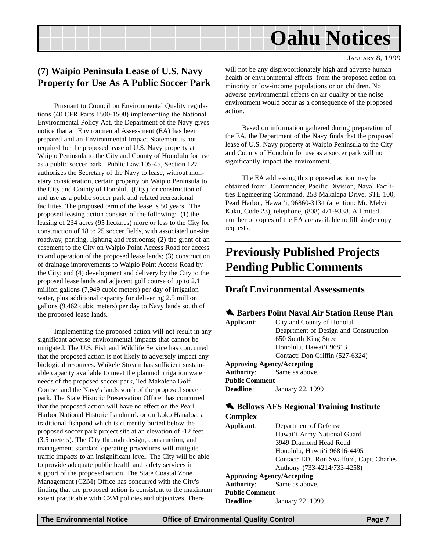#### JANUARY 8, 1999

### <span id="page-6-0"></span>**(7) Waipio Peninsula Lease of U.S. Navy Property for Use As A Public Soccer Park**

Pursuant to Council on Environmental Quality regulations (40 CFR Parts 1500-1508) implementing the National Environmental Policy Act, the Department of the Navy gives notice that an Environmental Assessment (EA) has been prepared and an Environmental Impact Statement is not required for the proposed lease of U.S. Navy property at Waipio Peninsula to the City and County of Honolulu for use as a public soccer park. Public Law 105-45, Section 127 authorizes the Secretary of the Navy to lease, without monetary consideration, certain property on Waipio Peninsula to the City and County of Honolulu (City) for construction of and use as a public soccer park and related recreational facilities. The proposed term of the lease is 50 years. The proposed leasing action consists of the following: (1) the leasing of 234 acres (95 hectares) more or less to the City for construction of 18 to 25 soccer fields, with associated on-site roadway, parking, lighting and restrooms; (2) the grant of an easement to the City on Waipio Point Access Road for access to and operation of the proposed lease lands; (3) construction of drainage improvements to Waipio Point Access Road by the City; and (4) development and delivery by the City to the proposed lease lands and adjacent golf course of up to 2.1 million gallons (7,949 cubic meters) per day of irrigation water, plus additional capacity for delivering 2.5 million gallons (9,462 cubic meters) per day to Navy lands south of the proposed lease lands.

Implementing the proposed action will not result in any significant adverse environmental impacts that cannot be mitigated. The U.S. Fish and Wildlife Service has concurred that the proposed action is not likely to adversely impact any biological resources. Waikele Stream has sufficient sustainable capacity available to meet the planned irrigation water needs of the proposed soccer park, Ted Makalena Golf Course, and the Navy's lands south of the proposed soccer park. The State Historic Preservation Officer has concurred that the proposed action will have no effect on the Pearl Harbor National Historic Landmark or on Loko Hanaloa, a traditional fishpond which is currently buried below the proposed soccer park project site at an elevation of -12 feet (3.5 meters). The City through design, construction, and management standard operating procedures will mitigate traffic impacts to an insignificant level. The City will be able to provide adequate public health and safety services in support of the proposed action. The State Coastal Zone Management (CZM) Office has concurred with the City's finding that the proposed action is consistent to the maximum extent practicable with CZM policies and objectives. There

will not be any disproportionately high and adverse human health or environmental effects from the proposed action on minority or low-income populations or on children. No adverse environmental effects on air quality or the noise environment would occur as a consequence of the proposed action.

Based on information gathered during preparation of the EA, the Department of the Navy finds that the proposed lease of U.S. Navy property at Waipio Peninsula to the City and County of Honolulu for use as a soccer park will not significantly impact the environment.

The EA addressing this proposed action may be obtained from: Commander, Pacific Division, Naval Facilities Engineering Command, 258 Makalapa Drive, STE 100, Pearl Harbor, Hawai'i, 96860-3134 (attention: Mr. Melvin Kaku, Code 23), telephone, (808) 471-9338. A limited number of copies of the EA are available to fill single copy requests.

## **Previously Published Projects Pending Public Comments**

#### **Draft Environmental Assessments**

#### 1 **Barbers Point Naval Air Station Reuse Plan**

| Applicant:                        | City and County of Honolul            |  |
|-----------------------------------|---------------------------------------|--|
|                                   | Deaprtment of Design and Construction |  |
|                                   | 650 South King Street                 |  |
|                                   | Honolulu, Hawai'i 96813               |  |
|                                   | Contact: Don Griffin (527-6324)       |  |
| <b>Approving Agency/Accepting</b> |                                       |  |
| <b>Authority:</b> Same as above.  |                                       |  |
| <b>Public Comment</b>             |                                       |  |
| <b>Deadline:</b>                  | January 22, 1999                      |  |

#### $\bullet$  Bellows AFS Regional Training Institute **Complex**

| Applicant:<br>Department of Defense |                                          |
|-------------------------------------|------------------------------------------|
|                                     | Hawai'i Army National Guard              |
|                                     | 3949 Diamond Head Road                   |
|                                     | Honolulu, Hawai'i 96816-4495             |
|                                     | Contact: LTC Ron Swafford, Capt. Charles |
|                                     | Anthony (733-4214/733-4258)              |
| <b>Approving Agency/Accepting</b>   |                                          |
| <b>Authority:</b> Same as above.    |                                          |
| <b>Public Comment</b>               |                                          |
| <b>Deadline:</b>                    | January 22, 1999                         |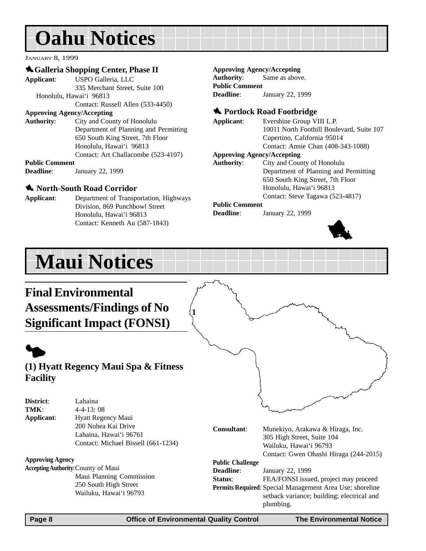JANUARY 8, 1999

#### 1**Galleria Shopping Center, Phase II**

**Applicant**: USPO Galleria, LLC 335 Merchant Street, Suite 100 Honolulu, Hawai'i 96813 Contact: Russell Allen (533-4450) **Approving Agency/Accepting Authority**: City and County of Honolulu Department of Planning and Permitting 650 South King Street, 7th Floor Honolulu, Hawai'i 96813 Contact: Art Challacombe (523-4107)

**Public Comment Deadline**: January 22, 1999

#### 1 **North-South Road Corridor**

**Applicant**: Department of Transportation, Highways Division, 869 Punchbowl Street Honolulu, Hawai'i 96813 Contact: Kenneth Au (587-1843)

#### **Approving Agency/Accepting**

**Authority**: Same as above. **Public Comment Deadline**: January 22, 1999

#### **1** Portlock Road Footbridge

**Applicant**: Evershine Group VIII L.P. 10011 North Foothill Boulevard, Suite 107 Cupertino, California 95014 Contact: Annie Chan (408-343-1088)

#### **Approving Agency/Accepting**

**Authority**: City and County of Honolulu Department of Planning and Permitting 650 South King Street, 7th Floor Honolulu, Hawai'i 96813 Contact: Steve Tagawa (523-4817)

#### **Public Comment**

**Deadline**: January 22, 1999



## **Maui Notices**

## **Final Environmental Assessments/Findings of No Significant Impact (FONSI)**

## $\blacklozenge$ **(1) Hyatt Regency Maui Spa & Fitness Facility**

| District:<br>TMK:       | Lahaina<br>$4-4-13:08$                                                                                                    |                         |                                                                                                                                                                                  |
|-------------------------|---------------------------------------------------------------------------------------------------------------------------|-------------------------|----------------------------------------------------------------------------------------------------------------------------------------------------------------------------------|
| Applicant:              | Hyatt Regency Maui<br>200 Nohea Kai Drive<br>Lahaina, Hawai'i 96761<br>Contact: Michael Bissell (661-1234)                | Consultant:             | Munekiyo, Arakawa & Hiraga, Inc.<br>305 High Street, Suite 104<br>Wailuku, Hawai'i 96793<br>Contact: Gwen Ohashi Hiraga (244-2015)                                               |
| <b>Approving Agency</b> |                                                                                                                           | <b>Public Challenge</b> |                                                                                                                                                                                  |
|                         | <b>Accepting Authority: County of Maui</b><br>Maui Planning Commission<br>250 South High Street<br>Wailuku, Hawai'i 96793 | Deadline:<br>Status:    | January 22, 1999<br>FEA/FONSI issued, project may proceed<br>Permits Required: Special Management Area Use; shoreline<br>setback variance; building; electrical and<br>plumbing. |

**1**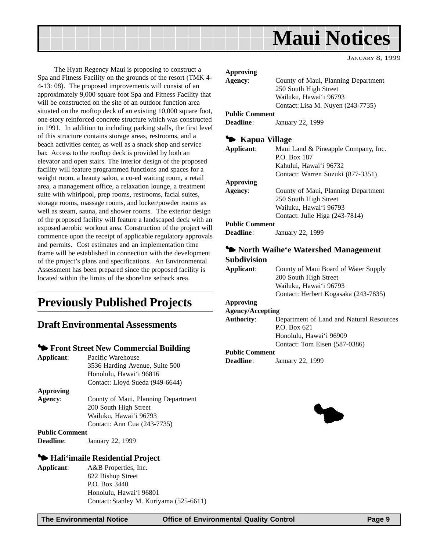<span id="page-8-0"></span>

JANUARY 8, 1999

The Hyatt Regency Maui is proposing to construct a Spa and Fitness Facility on the grounds of the resort (TMK 4- 4-13: 08). The proposed improvements will consist of an approximately 9,000 square foot Spa and Fitness Facility that will be constructed on the site of an outdoor function area situated on the rooftop deck of an existing 10,000 square foot, one-story reinforced concrete structure which was constructed in 1991. In addition to including parking stalls, the first level of this structure contains storage areas, restrooms, and a beach activities center, as well as a snack shop and service bar. Access to the rooftop deck is provided by both an elevator and open stairs. The interior design of the proposed facility will feature programmed functions and spaces for a weight room, a beauty salon, a co-ed waiting room, a retail area, a management office, a relaxation lounge, a treatment suite with whirlpool, prep rooms, restrooms, facial suites, storage rooms, massage rooms, and locker/powder rooms as well as steam, sauna, and shower rooms. The exterior design of the proposed facility will feature a landscaped deck with an exposed aerobic workout area. Construction of the project will commence upon the receipt of applicable regulatory approvals and permits. Cost estimates and an implementation time frame will be established in connection with the development of the project's plans and specifications. An Environmental Assessment has been prepared since the proposed facility is located within the limits of the shoreline setback area.

## **Previously Published Projects**

#### **Draft Environmental Assessments**

#### 3 **Front Street New Commercial Building**

| Applicant:            | Pacific Warehouse                   |
|-----------------------|-------------------------------------|
|                       | 3536 Harding Avenue, Suite 500      |
|                       | Honolulu, Hawai'i 96816             |
|                       | Contact: Lloyd Sueda (949-6644)     |
| Approving             |                                     |
| Agency:               | County of Maui, Planning Department |
|                       | 200 South High Street               |
|                       | Wailuku, Hawai'i 96793              |
|                       | Contact: Ann Cua (243-7735)         |
| <b>Public Comment</b> |                                     |
|                       |                                     |

#### **Deadline**: January 22, 1999

#### 3 **Hali'imaile Residential Project**

**Applicant**: A&B Properties, Inc. 822 Bishop Street P.O. Box 3440 Honolulu, Hawai'i 96801 Contact: Stanley M. Kuriyama (525-6611)

#### **Approving**

| Agency:               | County of Maui, Planning Department |
|-----------------------|-------------------------------------|
|                       | 250 South High Street               |
|                       | Wailuku, Hawai'i 96793              |
|                       | Contact: Lisa M. Nuyen (243-7735)   |
| <b>Public Comment</b> |                                     |
| <b>Deadline</b> :     | January 22, 1999                    |
|                       |                                     |

#### 3 **Kapua Village**

| Applicant:            | Maui Land & Pineapple Company, Inc. |  |
|-----------------------|-------------------------------------|--|
|                       | P.O. Box 187                        |  |
|                       | Kahului, Hawai'i 96732              |  |
|                       | Contact: Warren Suzuki (877-3351)   |  |
| <b>Approving</b>      |                                     |  |
| Agency:               | County of Maui, Planning Department |  |
|                       | 250 South High Street               |  |
|                       | Wailuku, Hawai'i 96793              |  |
|                       | Contact: Julie Higa (243-7814)      |  |
| <b>Public Comment</b> |                                     |  |

#### **Public Comment**

**Deadline**: January 22, 1999

#### 3 **North Waihe'e Watershed Management Subdivision**

| Applicant: | County of Maui Board of Water Supply |
|------------|--------------------------------------|
|            | 200 South High Street                |
|            | Wailuku. Hawai'i 96793               |
|            | Contact: Herbert Kogasaka (243-7835) |
|            |                                      |

#### **Approving**

#### **Agency/Accepting**

| Authority: | Department of Land and Natural Resources |
|------------|------------------------------------------|
|            | P.O. Box 621                             |
|            | Honolulu, Hawai'i 96909                  |
|            | Contact: Tom Eisen (587-0386)            |

#### **Public Comment**

**Deadline**: January 22, 1999

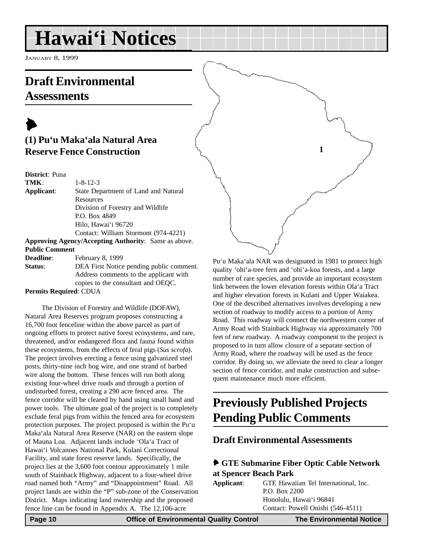## <span id="page-9-0"></span>**Hawai'i Notices**

JANUARY 8, 1999

## **Draft Environmental Assessments**

## $\blacktriangleright$ **(1) Pu'u Maka'ala Natural Area Reserve Fence Construction**

**District**: Puna

| TMK:                  | $1 - 8 - 12 - 3$                                     |
|-----------------------|------------------------------------------------------|
| Applicant:            | State Department of Land and Natural                 |
|                       | Resources                                            |
|                       | Division of Forestry and Wildlife                    |
|                       | P.O. Box 4849                                        |
|                       | Hilo, Hawai'i 96720                                  |
|                       | Contact: William Stormont (974-4221)                 |
|                       | Approving Agency/Accepting Authority: Same as above. |
| <b>Public Comment</b> |                                                      |

Deadline: February 8, 1999 **Status**: DEA First Notice pending public comment. Address comments to the applicant with copies to the consultant and OEQC.

**Permits Required**: CDUA

The Division of Forestry and Wildlife (DOFAW), Natural Area Reserves program proposes constructing a 16,700 foot fenceline within the above parcel as part of ongoing efforts to protect native forest ecosystems, and rare, threatened, and/or endangered flora and fauna found within these ecosystems, from the effects of feral pigs (*Sus scrofa*). The project involves erecting a fence using galvanized steel posts, thirty-nine inch hog wire, and one strand of barbed wire along the bottom. These fences will run both along existing four-wheel drive roads and through a portion of undisturbed forest, creating a 290 acre fenced area. The fence corridor will be cleared by hand using small hand and power tools. The ultimate goal of the project is to completely exclude feral pigs from within the fenced area for ecosystem protection purposes. The project proposed is within the Pu'u Maka'ala Natural Area Reserve (NAR) on the eastern slope of Mauna Loa. Adjacent lands include 'Ola'a Tract of Hawai'i Volcanoes National Park, Kulani Correctional Facility, and state forest reserve lands. Specifically, the project lies at the 3,600 foot contour approximately 1 mile south of Stainback Highway, adjacent to a four-wheel drive road named both "Army" and "Disappointment" Road. All project lands are within the "P" sub-zone of the Conservation District. Maps indicating land ownership and the proposed fence line can be found in Appendix A. The 12,106-acre

Pu'u Maka'ala NAR was designated in 1981 to protect high quality 'ohi'a-tree fern and 'ohi'a-koa forests, and a large number of rare species, and provide an important ecosystem link between the lower elevation forests within Ola'a Tract and higher elevation forests in Kulani and Upper Waiakea. One of the described alternatives involves developing a new section of roadway to modify access to a portion of Army Road. This roadway will connect the northwestern corner of Army Road with Stainback Highway via approximately 700 feet of new roadway. A roadway component to the project is proposed to in turn allow closure of a separate section of Army Road, where the roadway will be used as the fence corridor. By doing so, we alleviate the need to clear a longer section of fence corridor, and make construction and subsequent maintenance much more efficient.

**1**

## **Previously Published Projects Pending Public Comments**

### **Draft Environmental Assessments**

#### 6 **GTE Submarine Fiber Optic Cable Network at Spencer Beach Park**

| Applicant: | GTE Hawaiian Tel International. Inc. |
|------------|--------------------------------------|
|            | P.O. Box 2200                        |
|            | Honolulu, Hawai'i 96841              |
|            | Contact: Powell Onishi (546-4511)    |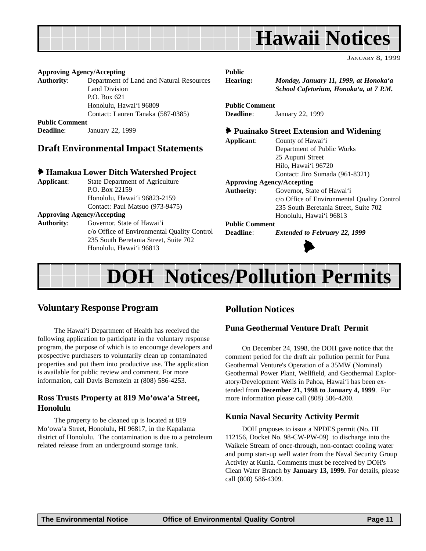<span id="page-10-0"></span>

| January 8, 1999 |  |
|-----------------|--|
|                 |  |

#### **Approving Agency/Accepting**

**Authority**: Department of Land and Natural Resources Land Division P.O. Box 621 Honolulu, Hawai'i 96809 Contact: Lauren Tanaka (587-0385) **Public Comment Deadline**: January 22, 1999

#### **Draft Environmental Impact Statements**

#### 6 **Hamakua Lower Ditch Watershed Project**

**Applicant**: State Department of Agriculture P.O. Box 22159 Honolulu, Hawai'i 96823-2159 Contact: Paul Matsuo (973-9475) **Approving Agency/Accepting Authority**: Governor, State of Hawai'i

c/o Office of Environmental Quality Control 235 South Beretania Street, Suite 702 Honolulu, Hawai'i 96813

#### **Public**

**Hearing:** *Monday, January 11, 1999, at Honoka'a School Cafetorium, Honoka'a, at 7 P.M.*

**Public Comment Deadline**: January 22, 1999

#### 6 **Puainako Street Extension and Widening**

**Applicant**: County of Hawai'i

Department of Public Works 25 Aupuni Street Hilo, Hawai'i 96720 Contact: Jiro Sumada (961-8321)

#### **Approving Agency/Accepting**

**Authority**: Governor, State of Hawai'i c/o Office of Environmental Quality Control 235 South Beretania Street, Suite 702 Honolulu, Hawai'i 96813

#### **Public Comment**

**Deadline**: *Extended to February 22, 1999*



## **DOH Notices/Pollution Permits**

#### **Voluntary Response Program**

The Hawai'i Department of Health has received the following application to participate in the voluntary response program, the purpose of which is to encourage developers and prospective purchasers to voluntarily clean up contaminated properties and put them into productive use. The application is available for public review and comment. For more information, call Davis Bernstein at (808) 586-4253.

#### **Ross Trusts Property at 819 Mo'owa'a Street, Honolulu**

The property to be cleaned up is located at 819 Mo'owa'a Street, Honolulu, HI 96817, in the Kapalama district of Honolulu. The contamination is due to a petroleum related release from an underground storage tank.

#### **Pollution Notices**

#### **Puna Geothermal Venture Draft Permit**

On December 24, 1998, the DOH gave notice that the comment period for the draft air pollution permit for Puna Geothermal Venture's Operation of a 35MW (Nominal) Geothermal Power Plant, Wellfield, and Geothermal Exploratory/Development Wells in Pahoa, Hawai'i has been extended from **December 21, 1998 to January 4, 1999**. For more information please call (808) 586-4200.

#### **Kunia Naval Security Activity Permit**

DOH proposes to issue a NPDES permit (No. HI 112156, Docket No. 98-CW-PW-09) to discharge into the Waikele Stream of once-through, non-contact cooling water and pump start-up well water from the Naval Security Group Activity at Kunia. Comments must be received by DOH's Clean Water Branch by **January 13, 1999.** For details, please call (808) 586-4309.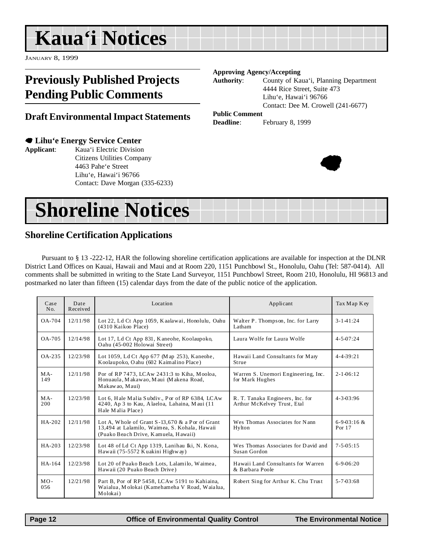## <span id="page-11-0"></span>**Kaua'i Notices**

JANUARY 8, 1999

## **Previously Published Projects Pending Public Comments**

#### **Draft Environmental Impact Statements**

#### 7 **Lihu'e Energy Service Center**

**Applicant**: Kaua'i Electric Division Citizens Utilities Company 4463 Pahe'e Street Lihu'e, Hawai'i 96766 Contact: Dave Morgan (335-6233)

#### **Approving Agency/Accepting**

**Authority**: County of Kaua'i, Planning Department 4444 Rice Street, Suite 473 Lihu'e, Hawai'i 96766 Contact: Dee M. Crowell (241-6677)

#### **Public Comment**

**Deadline**: February 8, 1999



| <b>Shoreline Notices</b> |  |  |
|--------------------------|--|--|
|                          |  |  |

### **Shoreline Certification Applications**

Pursuant to § 13 -222-12, HAR the following shoreline certification applications are available for inspection at the DLNR District Land Offices on Kauai, Hawaii and Maui and at Room 220, 1151 Punchbowl St., Honolulu, Oahu (Tel: 587-0414). All comments shall be submitted in writing to the State Land Surveyor, 1151 Punchbowl Street, Room 210, Honolulu, HI 96813 and postmarked no later than fifteen (15) calendar days from the date of the public notice of the application.

| Case<br>No.   | Date<br>Received | Location                                                                                                                                   | Applicant                                                       | Tax Map Key              |
|---------------|------------------|--------------------------------------------------------------------------------------------------------------------------------------------|-----------------------------------------------------------------|--------------------------|
| OA-704        | 12/11/98         | Lot 22, Ld Ct App 1059, Kaalawai, Honolulu, Oahu<br>(4310 Kaikoo Place)                                                                    | Walter P. Thompson, Inc. for Larry<br>Latham                    | $3 - 1 - 41:24$          |
| <b>OA-705</b> | 12/14/98         | Lot 17, Ld Ct App 831, Kaneohe, Koolaupoko,<br>Oahu (45-002 Holowai Street)                                                                | Laura Wolfe for Laura Wolfe                                     | $4 - 5 - 07:24$          |
| OA-235        | 12/23/98         | Lot 1059, Ld Ct App 677 (Map 253), Kaneohe,<br>Koolaupoko, Oahu (602 Kaimalino Place)                                                      | Hawaii Land Consultants for Mary<br>Strue                       | $4 - 4 - 39:21$          |
| $MA -$<br>149 | 12/11/98         | Por of RP 7473, LCAw 2431:3 to Kiha, Mooloa,<br>Honuaula, Makawao, Maui (Makena Road,<br>Makawao, Maui)                                    | Warren S. Unemori Engineering, Inc.<br>for Mark Hughes          | $2 - 1 - 06:12$          |
| MA-<br>200    | 12/23/98         | Lot 6, Hale Malia Subdiv., Por of RP 6384, LCAw<br>4240, Ap 3 to Kau, Alaeloa, Lahaina, Maui (11<br>Hale Malia Place)                      | R. T. Tanaka Engineers, Inc. for<br>Arthur McKelvey Trust, Etal | $4 - 3 - 03:96$          |
| HA-202        | 12/11/98         | Lot A, Whole of Grant $S-13,670$ & a Por of Grant<br>13,494 at Lalamilo, Waimea, S. Kohala, Hawaii<br>(Puako Beach Drive, Kamuela, Hawaii) | Wes Thomas Associates for Nann<br>Hylton                        | $6-9-03:16 \&$<br>Por 17 |
| $HA-203$      | 12/23/98         | Lot 48 of Ld Ct App 1319, Lanihau Iki, N. Kona,<br>Hawaii (75-5572 Kuakini Highway)                                                        | Wes Thomas Associates for David and<br>Susan Gordon             | $7 - 5 - 0.5 : 1.5$      |
| HA-164        | 12/23/98         | Lot 20 of Puako Beach Lots, Lalamilo, Waimea,<br>Hawaii (20 Puako Beach Drive)                                                             | Hawaii Land Consultants for Warren<br>& Barbara Poole           | $6-9-06:20$              |
| $MO -$<br>056 | 12/21/98         | Part B, Por of RP 5458, LCAw 5191 to Kahiaina,<br>Waialua, Molokai (Kamehameha V Road, Waialua,<br>Molokai)                                | Robert Sing for Arthur K. Chu Trust                             | $5 - 7 - 03:68$          |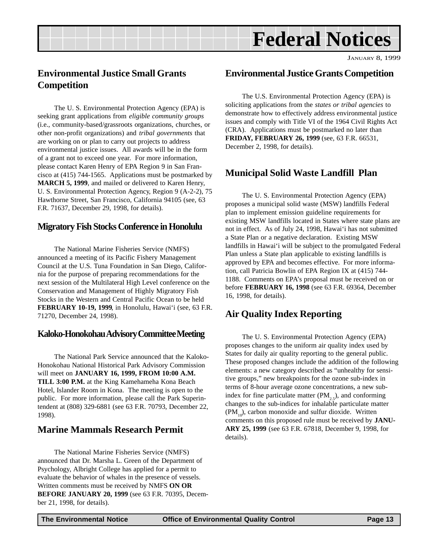## **Federal Notices**

### <span id="page-12-0"></span>**Environmental Justice Small Grants Competition**

The U. S. Environmental Protection Agency (EPA) is seeking grant applications from *eligible community groups* (i.e., community-based/grassroots organizations, churches, or other non-profit organizations) and *tribal governments* that are working on or plan to carry out projects to address environmental justice issues. All awards will be in the form of a grant not to exceed one year. For more information, please contact Karen Henry of EPA Region 9 in San Francisco at (415) 744-1565. Applications must be postmarked by **MARCH 5, 1999**, and mailed or delivered to Karen Henry, U. S. Environmental Protection Agency, Region 9 (A-2-2), 75 Hawthorne Street, San Francisco, California 94105 (see, 63 F.R. 71637, December 29, 1998, for details).

#### **Migratory Fish Stocks Conference in Honolulu**

The National Marine Fisheries Service (NMFS) announced a meeting of its Pacific Fishery Management Council at the U.S. Tuna Foundation in San Diego, California for the purpose of preparing recommendations for the next session of the Multilateral High Level conference on the Conservation and Management of Highly Migratory Fish Stocks in the Western and Central Pacific Ocean to be held **FEBRUARY 10-19, 1999**, in Honolulu, Hawai'i (see, 63 F.R. 71270, December 24, 1998).

#### **Kaloko-Honokohau Advisory Committee Meeting**

The National Park Service announced that the Kaloko-Honokohau National Historical Park Advisory Commission will meet on **JANUARY 16, 1999, FROM 10:00 A.M. TILL 3:00 P.M.** at the King Kamehameha Kona Beach Hotel, Islander Room in Kona. The meeting is open to the public. For more information, please call the Park Superintendent at (808) 329-6881 (see 63 F.R. 70793, December 22, 1998).

### **Marine Mammals Research Permit**

The National Marine Fisheries Service (NMFS) announced that Dr. Marsha L. Green of the Department of Psychology, Albright College has applied for a permit to evaluate the behavior of whales in the presence of vessels. Written comments must be received by NMFS **ON OR BEFORE JANUARY 20, 1999** (see 63 F.R. 70395, December 21, 1998, for details).

### **Environmental Justice Grants Competition**

The U.S. Environmental Protection Agency (EPA) is soliciting applications from the *states or tribal agencies* to demonstrate how to effectively address environmental justice issues and comply with Title VI of the 1964 Civil Rights Act (CRA). Applications must be postmarked no later than **FRIDAY, FEBRUARY 26, 1999** (see, 63 F.R. 66531, December 2, 1998, for details).

### **Municipal Solid Waste Landfill Plan**

The U. S. Environmental Protection Agency (EPA) proposes a municipal solid waste (MSW) landfills Federal plan to implement emission guideline requirements for existing MSW landfills located in States where state plans are not in effect. As of July 24, 1998, Hawai'i has not submitted a State Plan or a negative declaration. Existing MSW landfills in Hawai'i will be subject to the promulgated Federal Plan unless a State plan applicable to existing landfills is approved by EPA and becomes effective. For more information, call Patricia Bowlin of EPA Region IX at (415) 744- 1188. Comments on EPA's proposal must be received on or before **FEBRUARY 16, 1998** (see 63 F.R. 69364, December 16, 1998, for details).

### **Air Quality Index Reporting**

The U. S. Environmental Protection Agency (EPA) proposes changes to the uniform air quality index used by States for daily air quality reporting to the general public. These proposed changes include the addition of the following elements: a new category described as "unhealthy for sensitive groups," new breakpoints for the ozone sub-index in terms of 8-hour average ozone concentrations, a new subindex for fine particulate matter  $(PM, 5)$ , and conforming changes to the sub-indices for inhalable particulate matter  $(PM_{10})$ , carbon monoxide and sulfur dioxide. Written comments on this proposed rule must be received by **JANU-ARY 25, 1999** (see 63 F.R. 67818, December 9, 1998, for details).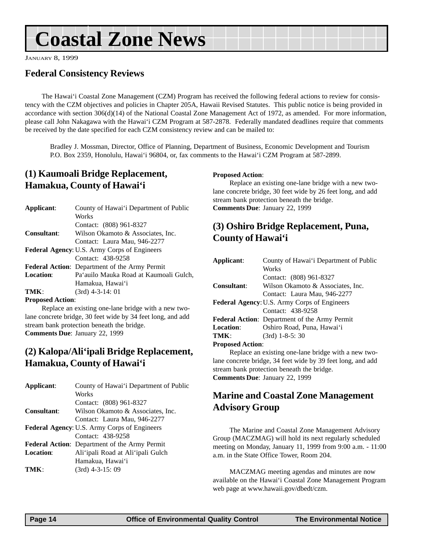## <span id="page-13-0"></span>**Coastal Zone News**

JANUARY 8, 1999

### **Federal Consistency Reviews**

The Hawai'i Coastal Zone Management (CZM) Program has received the following federal actions to review for consistency with the CZM objectives and policies in Chapter 205A, Hawaii Revised Statutes. This public notice is being provided in accordance with section  $306(d)(14)$  of the National Coastal Zone Management Act of 1972, as amended. For more information, please call John Nakagawa with the Hawai'i CZM Program at 587-2878. Federally mandated deadlines require that comments be received by the date specified for each CZM consistency review and can be mailed to:

Bradley J. Mossman, Director, Office of Planning, Department of Business, Economic Development and Tourism P.O. Box 2359, Honolulu, Hawai'i 96804, or, fax comments to the Hawai'i CZM Program at 587-2899.

## **(1) Kaumoali Bridge Replacement, Hamakua, County of Hawai'i**

| Applicant:                                          | County of Hawai'i Department of Public               |
|-----------------------------------------------------|------------------------------------------------------|
|                                                     | Works                                                |
|                                                     | Contact: (808) 961-8327                              |
| <b>Consultant:</b>                                  | Wilson Okamoto & Associates, Inc.                    |
|                                                     | Contact: Laura Mau, 946-2277                         |
| <b>Federal Agency: U.S. Army Corps of Engineers</b> |                                                      |
|                                                     | Contact: 438-9258                                    |
|                                                     | <b>Federal Action:</b> Department of the Army Permit |
| <b>Location:</b>                                    | Pa'auilo Mauka Road at Kaumoali Gulch,               |
|                                                     | Hamakua, Hawai'i                                     |
|                                                     | $(3rd)$ 4-3-14: 01                                   |

#### **Proposed Action**:

Replace an existing one-lane bridge with a new twolane concrete bridge, 30 feet wide by 34 feet long, and add stream bank protection beneath the bridge. **Comments Due**: January 22, 1999

### **(2) Kalopa/Ali'ipali Bridge Replacement, Hamakua, County of Hawai'i**

| Applicant:         | County of Hawai'i Department of Public               |
|--------------------|------------------------------------------------------|
|                    | Works                                                |
|                    | Contact: (808) 961-8327                              |
| <b>Consultant:</b> | Wilson Okamoto & Associates, Inc.                    |
|                    | Contact: Laura Mau, 946-2277                         |
|                    | <b>Federal Agency: U.S. Army Corps of Engineers</b>  |
|                    | Contact: 438-9258                                    |
|                    | <b>Federal Action:</b> Department of the Army Permit |
| <b>Location:</b>   | Ali'ipali Road at Ali'ipali Gulch                    |
|                    | Hamakua, Hawai'i                                     |
| TMK:               | $(3rd)$ 4-3-15: 09                                   |
|                    |                                                      |

#### **Proposed Action**:

Replace an existing one-lane bridge with a new twolane concrete bridge, 30 feet wide by 26 feet long, and add stream bank protection beneath the bridge. **Comments Due**: January 22, 1999

### **(3) Oshiro Bridge Replacement, Puna, County of Hawai'i**

| Applicant:                                          | County of Hawai'i Department of Public               |  |
|-----------------------------------------------------|------------------------------------------------------|--|
|                                                     | Works                                                |  |
|                                                     | Contact: (808) 961-8327                              |  |
| Consultant:                                         | Wilson Okamoto & Associates, Inc.                    |  |
|                                                     | Contact: Laura Mau, 946-2277                         |  |
| <b>Federal Agency: U.S. Army Corps of Engineers</b> |                                                      |  |
|                                                     | Contact: 438-9258                                    |  |
|                                                     | <b>Federal Action:</b> Department of the Army Permit |  |
| <b>Location:</b>                                    | Oshiro Road, Puna, Hawai'i                           |  |
| TMK:                                                | $(3rd)$ 1-8-5: 30                                    |  |
| <b>Proposed Action:</b>                             |                                                      |  |

Replace an existing one-lane bridge with a new twolane concrete bridge, 34 feet wide by 39 feet long, and add stream bank protection beneath the bridge. **Comments Due**: January 22, 1999

## **Marine and Coastal Zone Management Advisory Group**

The Marine and Coastal Zone Management Advisory Group (MACZMAG) will hold its next regularly scheduled meeting on Monday, January 11, 1999 from 9:00 a.m. - 11:00 a.m. in the State Office Tower, Room 204.

MACZMAG meeting agendas and minutes are now available on the Hawai'i Coastal Zone Management Program web page at www.hawaii.gov/dbedt/czm.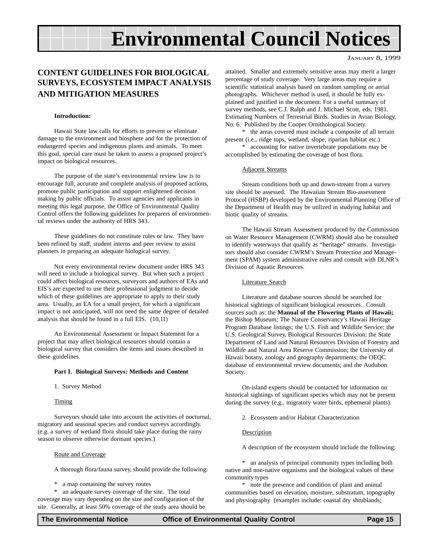## **Environmental Council Notices**

#### JANUARY 8, 1999

#### **CONTENT GUIDELINES FOR BIOLOGICAL SURVEYS, ECOSYSTEM IMPACT ANALYSIS AND MITIGATION MEASURES**

#### **Introduction:**

Hawaii State law calls for efforts to prevent or eliminate damage to the environment and biosphere and for the protection of endangered species and indigenous plants and animals. To meet this goal, special care must be taken to assess a proposed project's impact on biological resources.

The purpose of the state's environmental review law is to encourage full, accurate and complete analysis of proposed actions, promote public participation and support enlightened decision making by public officials. To assist agencies and applicants in meeting this legal purpose, the Office of Environmental Quality Control offers the following guidelines for preparers of environmental reviews under the authority of HRS 343.

These guidelines do not constitute rules or law. They have been refined by staff, student interns and peer review to assist planners in preparing an adequate biological survey.

Not every environmental review document under HRS 343 will need to include a biological survey. But when such a project could affect biological resources, surveyors and authors of EAs and EIS's are expected to use their professional judgment to decide which of these guidelines are appropriate to apply to their study area. Usually, an EA for a small project, for which a significant impact is not anticipated, will not need the same degree of detailed analysis that should be found in a full EIS. (10,11)

An Environmental Assessment or Impact Statement for a project that may affect biological resources should contain a biological survey that considers the items and issues described in these guidelines.

#### **Part I. Biological Surveys: Methods and Content**

1. Survey Method

Timing

Surveyors should take into account the activities of nocturnal, migratory and seasonal species and conduct surveys accordingly. (e.g. a survey of wetland flora should take place during the rainy season to observe otherwise dormant species.)

#### Route and Coverage

A thorough flora/fauna survey, should provide the following:

\* a map containing the survey routes

\* an adequate survey coverage of the site. The total coverage may vary depending on the size and configuration of the site. Generally, at least 50% coverage of the study area should be

attained. Smaller and extremely sensitive areas may merit a larger percentage of study coverage. Very large areas may require a scientific statistical analysis based on random sampling or aerial photographs. Whichever method is used, it should be fully explained and justified in the document. For a useful summary of survey methods, see C.J. Ralph and J. Michael Scott, eds. 1981. Estimating Numbers of Terrestrial Birds. Studies in Avian Biology, No. 6. Published by the Cooper Ornithological Society.

\* the areas covered must include a composite of all terrain present (i.e., ridge tops, wetland, slope, riparian habitat etc.)

\* accounting for native invertebrate populations may be accomplished by estimating the coverage of host flora.

#### Adjacent Streams

Stream conditions both up and down-stream from a survey site should be assessed. The Hawaiian Stream Bio-assessment Protocol (HSBP) developed by the Environmental Planning Office of the Department of Health may be utilized in studying habitat and biotic quality of streams.

The Hawaii Stream Assessment produced by the Commission on Water Resource Management (CWRM) should also be consulted to identify waterways that qualify as "heritage" streams. Investigators should also consider CWRM's Stream Protection and Management (SPAM) system administrative rules and consult with DLNR's Division of Aquatic Resources.

#### Literature Search

Literature and database sources should be searched for historical sightings of significant biological resources. Consult sources such as: the **Manual of the Flowering Plants of Hawaii;** the Bishop Museum; The Nature Conservancy's Hawaii Heritage Program Database listings; the U.S. Fish and Wildlife Service; the U.S. Geological Survey, Biological Resources Division; the State Department of Land and Natural Resources Division of Forestry and Wildlife and Natural Area Reserve Commission; the University of Hawaii botany, zoology and geography departments; the OEQC database of environmental review documents; and the Audubon Society.

On-island experts should be contacted for information on historical sightings of significant species which may not be present during the survey (e.g., migratory water birds, ephemeral plants).

2. Ecosystem and/or Habitat Characterization

#### **Description**

A description of the ecosystem should include the following:

\* an analysis of principal community types including both native and non-native organisms and the biological values of these community types

\* note the presence and condition of plant and animal communities based on elevation, moisture, substratum, topography and physiography (examples include: coastal dry shrublands;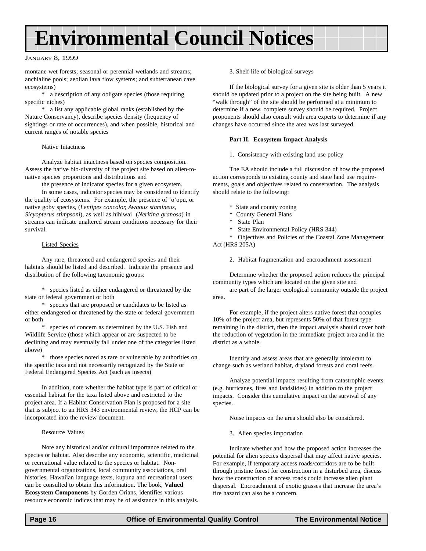## **Environmental Council Notices**

#### JANUARY 8, 1999

montane wet forests; seasonal or perennial wetlands and streams; anchialine pools; aeolian lava flow systems; and subterranean cave ecosystems)

\* a description of any obligate species (those requiring specific niches)

\* a list any applicable global ranks (established by the Nature Conservancy), describe species density (frequency of sightings or rate of occurrences), and when possible, historical and current ranges of notable species

#### Native Intactness

Analyze habitat intactness based on species composition. Assess the native bio-diversity of the project site based on alien-tonative species proportions and distributions and

the presence of indicator species for a given ecosystem.

In some cases, indicator species may be considered to identify the quality of ecosystems. For example, the presence of 'o'opu, or native goby species, (*Lentipes concolor, Awaous stamineus, Sicyopterus stimpsoni*), as well as hihiwai (*Neritina granosa*) in streams can indicate unaltered stream conditions necessary for their survival.

#### Listed Species

Any rare, threatened and endangered species and their habitats should be listed and described. Indicate the presence and distribution of the following taxonomic groups:

\* species listed as either endangered or threatened by the state or federal government or both

\* species that are proposed or candidates to be listed as either endangered or threatened by the state or federal government or both

species of concern as determined by the U.S. Fish and Wildlife Service (those which appear or are suspected to be declining and may eventually fall under one of the categories listed above)

those species noted as rare or vulnerable by authorities on the specific taxa and not necessarily recognized by the State or Federal Endangered Species Act (such as insects)

In addition, note whether the habitat type is part of critical or essential habitat for the taxa listed above and restricted to the project area. If a Habitat Conservation Plan is proposed for a site that is subject to an HRS 343 environmental review, the HCP can be incorporated into the review document.

#### Resource Values

Note any historical and/or cultural importance related to the species or habitat. Also describe any economic, scientific, medicinal or recreational value related to the species or habitat. Nongovernmental organizations, local community associations, oral histories, Hawaiian language texts, kupuna and recreational users can be consulted to obtain this information. The book, **Valued Ecosystem Components** by Gorden Orians, identifies various resource economic indices that may be of assistance in this analysis.

3. Shelf life of biological surveys

If the biological survey for a given site is older than 5 years it should be updated prior to a project on the site being built. A new "walk through" of the site should be performed at a minimum to determine if a new, complete survey should be required. Project proponents should also consult with area experts to determine if any changes have occurred since the area was last surveyed.

#### **Part II. Ecosystem Impact Analysis**

1. Consistency with existing land use policy

The EA should include a full discussion of how the proposed action corresponds to existing county and state land use requirements, goals and objectives related to conservation. The analysis should relate to the following:

- \* State and county zoning
- \* County General Plans
- \* State Plan
- \* State Environmental Policy (HRS 344)

\* Objectives and Policies of the Coastal Zone Management Act (HRS 205A)

2. Habitat fragmentation and encroachment assessment

Determine whether the proposed action reduces the principal community types which are located on the given site and

are part of the larger ecological community outside the project area.

For example, if the project alters native forest that occupies 10% of the project area, but represents 50% of that forest type remaining in the district, then the impact analysis should cover both the reduction of vegetation in the immediate project area and in the district as a whole.

Identify and assess areas that are generally intolerant to change such as wetland habitat, dryland forests and coral reefs.

Analyze potential impacts resulting from catastrophic events (e.g. hurricanes, fires and landslides) in addition to the project impacts. Consider this cumulative impact on the survival of any species.

Noise impacts on the area should also be considered.

3. Alien species importation

Indicate whether and how the proposed action increases the potential for alien species dispersal that may affect native species. For example, if temporary access roads/corridors are to be built through pristine forest for construction in a disturbed area, discuss how the construction of access roads could increase alien plant dispersal. Encroachment of exotic grasses that increase the area's fire hazard can also be a concern.